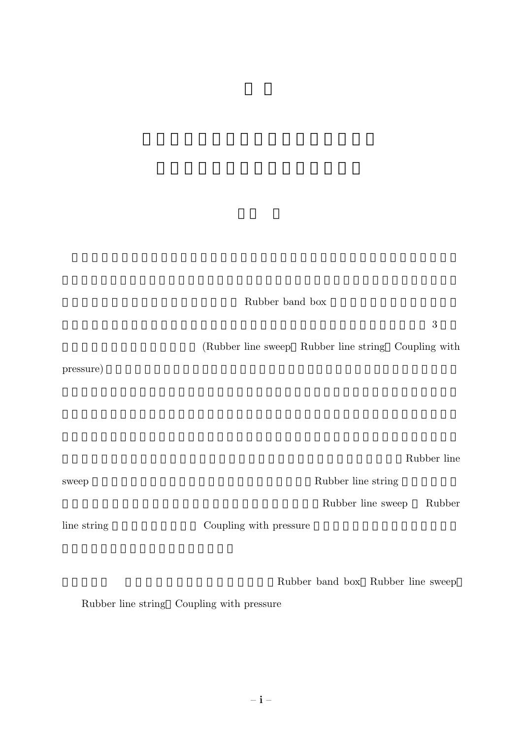## Rubber band box

 $3$ 

(Rubber line sweep Rubber line string Coupling with

pressure)

Rubber line

| sweep       |                        | Rubber line string |                                   |        |
|-------------|------------------------|--------------------|-----------------------------------|--------|
|             |                        | Rubber line sweep  |                                   | Rubber |
| line string | Coupling with pressure |                    |                                   |        |
|             |                        |                    | Rubber band box Rubber line sweep |        |

Rubber line string Coupling with pressure